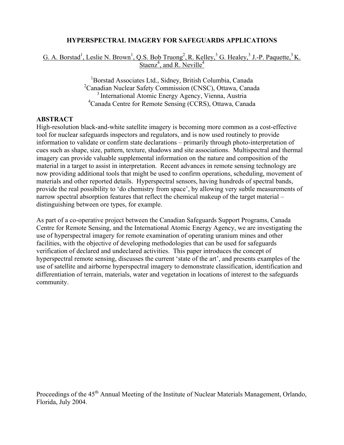#### **HYPERSPECTRAL IMAGERY FOR SAFEGUARDS APPLICATIONS**

## G. A. Borstad<sup>1</sup>, Leslie N. Brown<sup>1</sup>, Q.S. Bob Truong<sup>2</sup>, R. Kelley, <sup>3</sup> G. Healey, <sup>3</sup> J.-P. Paquette, <sup>3</sup> K. Staenz<sup>4</sup>, and R. Neville<sup>4</sup>

1 Borstad Associates Ltd., Sidney, British Columbia, Canada <sup>2</sup> Canadian Nuclear Safety Commission (CNSC), Ottawa, Canada <sup>3</sup> International Atomic Energy Agency, Vienna, Austria 4 Canada Centre for Remote Sensing (CCRS), Ottawa, Canada

#### **ABSTRACT**

High-resolution black-and-white satellite imagery is becoming more common as a cost-effective tool for nuclear safeguards inspectors and regulators, and is now used routinely to provide information to validate or confirm state declarations – primarily through photo-interpretation of cues such as shape, size, pattern, texture, shadows and site associations. Multispectral and thermal imagery can provide valuable supplemental information on the nature and composition of the material in a target to assist in interpretation. Recent advances in remote sensing technology are now providing additional tools that might be used to confirm operations, scheduling, movement of materials and other reported details. Hyperspectral sensors, having hundreds of spectral bands, provide the real possibility to 'do chemistry from space', by allowing very subtle measurements of narrow spectral absorption features that reflect the chemical makeup of the target material – distinguishing between ore types, for example.

As part of a co-operative project between the Canadian Safeguards Support Programs, Canada Centre for Remote Sensing, and the International Atomic Energy Agency, we are investigating the use of hyperspectral imagery for remote examination of operating uranium mines and other facilities, with the objective of developing methodologies that can be used for safeguards verification of declared and undeclared activities. This paper introduces the concept of hyperspectral remote sensing, discusses the current 'state of the art', and presents examples of the use of satellite and airborne hyperspectral imagery to demonstrate classification, identification and differentiation of terrain, materials, water and vegetation in locations of interest to the safeguards community.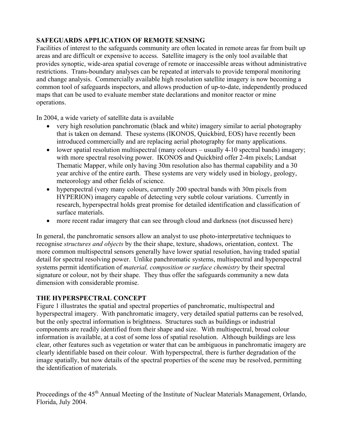# **SAFEGUARDS APPLICATION OF REMOTE SENSING**

Facilities of interest to the safeguards community are often located in remote areas far from built up areas and are difficult or expensive to access. Satellite imagery is the only tool available that provides synoptic, wide-area spatial coverage of remote or inaccessible areas without administrative restrictions. Trans-boundary analyses can be repeated at intervals to provide temporal monitoring and change analysis. Commercially available high resolution satellite imagery is now becoming a common tool of safeguards inspectors, and allows production of up-to-date, independently produced maps that can be used to evaluate member state declarations and monitor reactor or mine operations.

In 2004, a wide variety of satellite data is available

- very high resolution panchromatic (black and white) imagery similar to aerial photography that is taken on demand. These systems (IKONOS, Quickbird, EOS) have recently been introduced commercially and are replacing aerial photography for many applications.
- lower spatial resolution multispectral (many colours usually 4-10 spectral bands) imagery; with more spectral resolving power. IKONOS and Quickbird offer 2-4m pixels; Landsat Thematic Mapper, while only having 30m resolution also has thermal capability and a 30 year archive of the entire earth. These systems are very widely used in biology, geology, meteorology and other fields of science.
- hyperspectral (very many colours, currently 200 spectral bands with 30m pixels from HYPERION) imagery capable of detecting very subtle colour variations. Currently in research, hyperspectral holds great promise for detailed identification and classification of surface materials.
- more recent radar imagery that can see through cloud and darkness (not discussed here)

In general, the panchromatic sensors allow an analyst to use photo-interpretative techniques to recognise *structures and objects* by the their shape, texture, shadows, orientation, context. The more common multispectral sensors generally have lower spatial resolution, having traded spatial detail for spectral resolving power. Unlike panchromatic systems, multispectral and hyperspectral systems permit identification of *material, composition or surface chemistry* by their spectral signature or colour, not by their shape. They thus offer the safeguards community a new data dimension with considerable promise.

### **THE HYPERSPECTRAL CONCEPT**

Figure 1 illustrates the spatial and spectral properties of panchromatic, multispectral and hyperspectral imagery. With panchromatic imagery, very detailed spatial patterns can be resolved, but the only spectral information is brightness. Structures such as buildings or industrial components are readily identified from their shape and size. With multispectral, broad colour information is available, at a cost of some loss of spatial resolution. Although buildings are less clear, other features such as vegetation or water that can be ambiguous in panchromatic imagery are clearly identifiable based on their colour. With hyperspectral, there is further degradation of the image spatially, but now details of the spectral properties of the scene may be resolved, permitting the identification of materials.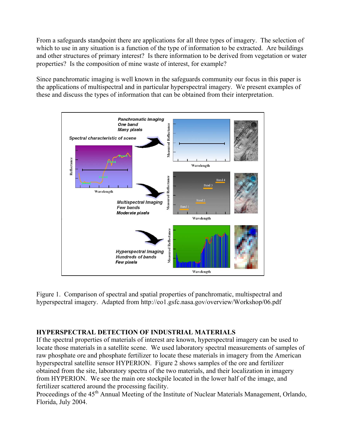From a safeguards standpoint there are applications for all three types of imagery. The selection of which to use in any situation is a function of the type of information to be extracted. Are buildings and other structures of primary interest? Is there information to be derived from vegetation or water properties? Is the composition of mine waste of interest, for example?

Since panchromatic imaging is well known in the safeguards community our focus in this paper is the applications of multispectral and in particular hyperspectral imagery. We present examples of these and discuss the types of information that can be obtained from their interpretation.



Figure 1. Comparison of spectral and spatial properties of panchromatic, multispectral and hyperspectral imagery. Adapted from http://eo1.gsfc.nasa.gov/overview/Workshop/06.pdf

# **HYPERSPECTRAL DETECTION OF INDUSTRIAL MATERIALS**

If the spectral properties of materials of interest are known, hyperspectral imagery can be used to locate those materials in a satellite scene. We used laboratory spectral measurements of samples of raw phosphate ore and phosphate fertilizer to locate these materials in imagery from the American hyperspectral satellite sensor HYPERION. Figure 2 shows samples of the ore and fertilizer obtained from the site, laboratory spectra of the two materials, and their localization in imagery from HYPERION. We see the main ore stockpile located in the lower half of the image, and fertilizer scattered around the processing facility.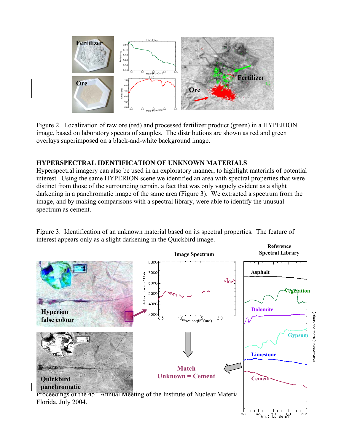

Figure 2. Localization of raw ore (red) and processed fertilizer product (green) in a HYPERION image, based on laboratory spectra of samples. The distributions are shown as red and green overlays superimposed on a black-and-white background image.

### **HYPERSPECTRAL IDENTIFICATION OF UNKNOWN MATERIALS**

Hyperspectral imagery can also be used in an exploratory manner, to highlight materials of potential interest. Using the same HYPERION scene we identified an area with spectral properties that were distinct from those of the surrounding terrain, a fact that was only vaguely evident as a slight darkening in a panchromatic image of the same area (Figure 3). We extracted a spectrum from the image, and by making comparisons with a spectral library, were able to identify the unusual spectrum as cement.



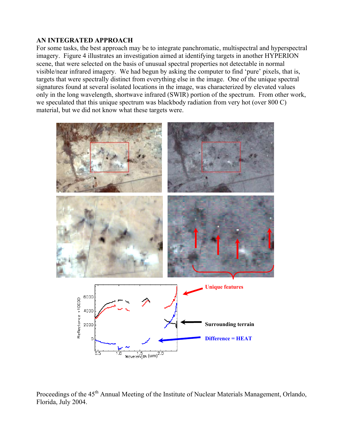#### **AN INTEGRATED APPROACH**

For some tasks, the best approach may be to integrate panchromatic, multispectral and hyperspectral imagery. Figure 4 illustrates an investigation aimed at identifying targets in another HYPERION scene, that were selected on the basis of unusual spectral properties not detectable in normal visible/near infrared imagery. We had begun by asking the computer to find 'pure' pixels, that is, targets that were spectrally distinct from everything else in the image. One of the unique spectral signatures found at several isolated locations in the image, was characterized by elevated values only in the long wavelength, shortwave infrared (SWIR) portion of the spectrum. From other work, we speculated that this unique spectrum was blackbody radiation from very hot (over 800 C) material, but we did not know what these targets were.



Proceedings of the 45<sup>th</sup> Annual Meeting of the Institute of Nuclear Materials Management, Orlando, Florida, July 2004.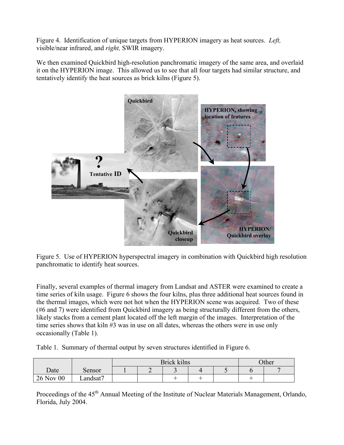Figure 4. Identification of unique targets from HYPERION imagery as heat sources. *Left,* visible/near infrared, and *right,* SWIR imagery.

We then examined Quickbird high-resolution panchromatic imagery of the same area, and overlaid it on the HYPERION image. This allowed us to see that all four targets had similar structure, and tentatively identify the heat sources as brick kilns (Figure 5).



Figure 5. Use of HYPERION hyperspectral imagery in combination with Quickbird high resolution panchromatic to identify heat sources.

Finally, several examples of thermal imagery from Landsat and ASTER were examined to create a time series of kiln usage. Figure 6 shows the four kilns, plus three additional heat sources found in the thermal images, which were not hot when the HYPERION scene was acquired. Two of these (#6 and 7) were identified from Quickbird imagery as being structurally different from the others, likely stacks from a cement plant located off the left margin of the images. Interpretation of the time series shows that kiln #3 was in use on all dates, whereas the others were in use only occasionally (Table 1).

Table 1. Summary of thermal output by seven structures identified in Figure 6.

|           |         | Brick kilns |  |    |  |  | Other |  |
|-----------|---------|-------------|--|----|--|--|-------|--|
| Date      | Sensor  |             |  | ້  |  |  |       |  |
| 26 Nov 00 | andsat7 |             |  | -- |  |  |       |  |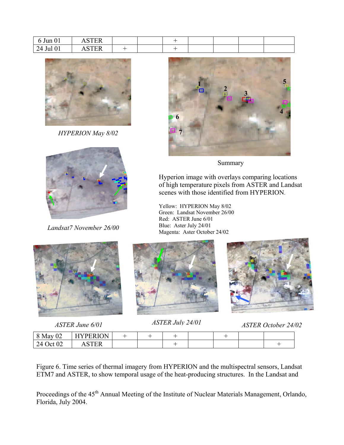| $\sim$<br>$\delta$ Jun $01$ | CDCD<br>∸™  |  |  |  |  |
|-----------------------------|-------------|--|--|--|--|
| 24 Jul 01                   | CDCD<br>TER |  |  |  |  |



*HYPERION May 8/02* 



*Landsat7 November 26/00* 





#### Summary

Hyperion image with overlays comparing locations of high temperature pixels from ASTER and Landsat scenes with those identified from HYPERION.

Yellow: HYPERION May 8/02 Green: Landsat November 26/00 Red: ASTER June 6/01 Blue: Aster July 24/01 Magenta: Aster October 24/02





*ASTER June 6/01 ASTER July 24/01 ASTER October 24/02*

| $\sim$<br>$8^{\degree}$<br>May<br>∪∠ | <b>HYPERION</b> |  | -- |  |  |
|--------------------------------------|-----------------|--|----|--|--|
| $\Omega$<br>24<br>. Jet<br>$U\angle$ |                 |  | -  |  |  |

Figure 6. Time series of thermal imagery from HYPERION and the multispectral sensors, Landsat ETM7 and ASTER, to show temporal usage of the heat-producing structures. In the Landsat and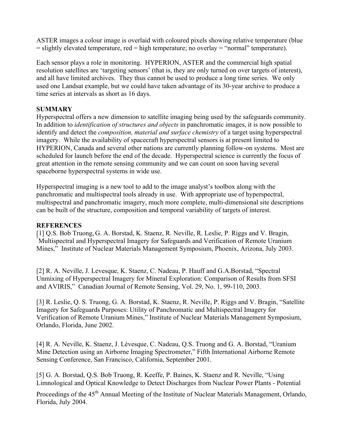ASTER images a colour image is overlaid with coloured pixels showing relative temperature (blue  $=$  slightly elevated temperature, red  $=$  high temperature; no overlay  $=$  "normal" temperature).

Each sensor plays a role in monitoring. HYPERION, ASTER and the commercial high spatial resolution satellites are 'targeting sensors' (that is, they are only turned on over targets of interest), and all have limited archives. They thus cannot be used to produce a long time series. We only used one Landsat example, but we could have taken advantage of its 30-year archive to produce a time series at intervals as short as 16 days.

## **SUMMARY**

Hyperspectral offers a new dimension to satellite imaging being used by the safeguards community. In addition to *identification of structures and objects* in panchromatic images, it is now possible to identify and detect the *composition, material and surface chemistry* of a target using hyperspectral imagery. While the availability of spacecraft hyperspectral sensors is at present limited to HYPERION, Canada and several other nations are currently planning follow-on systems. Most are scheduled for launch before the end of the decade. Hyperspectral science is currently the focus of great attention in the remote sensing community and we can count on soon having several spaceborne hyperspectral systems in wide use.

Hyperspectral imaging is a new tool to add to the image analyst's toolbox along with the panchromatic and multispectral tools already in use. With appropriate use of hyperspectral, multispectral and panchromatic imagery, much more complete, multi-dimensional site descriptions can be built of the structure, composition and temporal variability of targets of interest.

### **REFERENCES**

[1] Q.S. Bob Truong, G. A. Borstad, K. Staenz, R. Neville, R. Leslie, P. Riggs and V. Bragin, " Multispectral and Hyperspectral Imagery for Safeguards and Verification of Remote Uranium Mines," Institute of Nuclear Materials Management Symposium, Phoenix, Arizona, July 2003.

[2] R. A. Neville, J. Levesque, K. Staenz, C. Nadeau, P. Hauff and G.A.Borstad, "Spectral Unmixing of Hyperspectral Imagery for Mineral Exploration: Comparison of Results from SFSI and AVIRIS," Canadian Journal of Remote Sensing, Vol. 29, No. 1, 99-110, 2003.

[3] R. Leslie, Q. S. Truong, G. A. Borstad, K. Staenz, R. Neville, P. Riggs and V. Bragin, "Satellite Imagery for Safeguards Purposes: Utility of Panchromatic and Multispectral Imagery for Verification of Remote Uranium Mines," Institute of Nuclear Materials Management Symposium, Orlando, Florida, June 2002.

[4] R. A. Neville, K. Staenz, J. Lévesque, C. Nadeau, Q.S. Truong and G. A. Borstad, "Uranium Mine Detection using an Airborne Imaging Spectrometer," Fifth International Airborne Remote Sensing Conference, San Francisco, California, September 2001.

[5] G. A. Borstad, Q.S. Bob Truong, R. Keeffe, P. Baines, K. Staenz and R. Neville, "Using Limnological and Optical Knowledge to Detect Discharges from Nuclear Power Plants - Potential